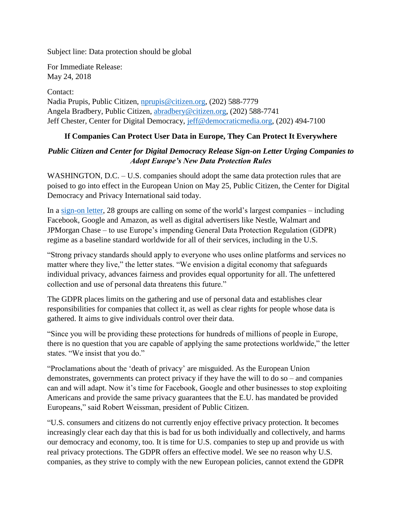Subject line: Data protection should be global

For Immediate Release: May 24, 2018

Contact: Nadia Prupis, Public Citizen, [nprupis@citizen.org,](mailto:nprupis@citizen.org) (202) 588-7779 Angela Bradbery, Public Citizen, [abradbery@citizen.org,](mailto:abradbery@citizen.org) (202) 588-7741 Jeff Chester, Center for Digital Democracy, [jeff@democraticmedia.org,](mailto:jeff@democraticmedia.org) (202) 494-7100

## **If Companies Can Protect User Data in Europe, They Can Protect It Everywhere**

## *Public Citizen and Center for Digital Democracy Release Sign-on Letter Urging Companies to Adopt Europe's New Data Protection Rules*

WASHINGTON, D.C. – U.S. companies should adopt the same data protection rules that are poised to go into effect in the European Union on May 25, Public Citizen, the Center for Digital Democracy and Privacy International said today.

In a [sign-on letter,](https://www.citizen.org/sites/default/files/gdrp_bezos_0.pdf) 28 groups are calling on some of the world's largest companies – including Facebook, Google and Amazon, as well as digital advertisers like Nestle, Walmart and JPMorgan Chase – to use Europe's impending General Data Protection Regulation (GDPR) regime as a baseline standard worldwide for all of their services, including in the U.S.

"Strong privacy standards should apply to everyone who uses online platforms and services no matter where they live," the letter states. "We envision a digital economy that safeguards individual privacy, advances fairness and provides equal opportunity for all. The unfettered collection and use of personal data threatens this future."

The GDPR places limits on the gathering and use of personal data and establishes clear responsibilities for companies that collect it, as well as clear rights for people whose data is gathered. It aims to give individuals control over their data.

"Since you will be providing these protections for hundreds of millions of people in Europe, there is no question that you are capable of applying the same protections worldwide," the letter states. "We insist that you do."

"Proclamations about the 'death of privacy' are misguided. As the European Union demonstrates, governments can protect privacy if they have the will to do so – and companies can and will adapt. Now it's time for Facebook, Google and other businesses to stop exploiting Americans and provide the same privacy guarantees that the E.U. has mandated be provided Europeans," said Robert Weissman, president of Public Citizen.

"U.S. consumers and citizens do not currently enjoy effective privacy protection. It becomes increasingly clear each day that this is bad for us both individually and collectively, and harms our democracy and economy, too. It is time for U.S. companies to step up and provide us with real privacy protections. The GDPR offers an effective model. We see no reason why U.S. companies, as they strive to comply with the new European policies, cannot extend the GDPR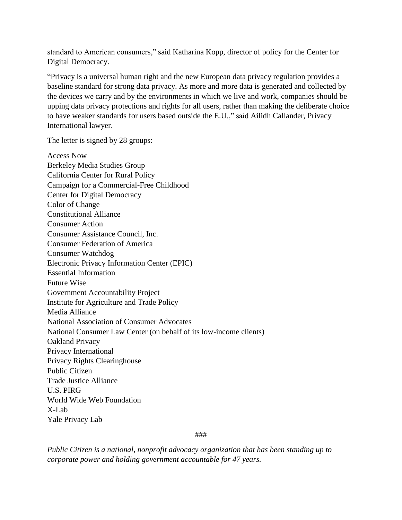standard to American consumers," said Katharina Kopp, director of policy for the Center for Digital Democracy.

"Privacy is a universal human right and the new European data privacy regulation provides a baseline standard for strong data privacy. As more and more data is generated and collected by the devices we carry and by the environments in which we live and work, companies should be upping data privacy protections and rights for all users, rather than making the deliberate choice to have weaker standards for users based outside the E.U.," said Ailidh Callander, Privacy International lawyer.

The letter is signed by 28 groups:

Access Now Berkeley Media Studies Group California Center for Rural Policy Campaign for a Commercial-Free Childhood Center for Digital Democracy Color of Change Constitutional Alliance Consumer Action Consumer Assistance Council, Inc. Consumer Federation of America Consumer Watchdog Electronic Privacy Information Center (EPIC) Essential Information Future Wise Government Accountability Project Institute for Agriculture and Trade Policy Media Alliance National Association of Consumer Advocates National Consumer Law Center (on behalf of its low-income clients) Oakland Privacy Privacy International Privacy Rights Clearinghouse Public Citizen Trade Justice Alliance U.S. PIRG World Wide Web Foundation X-Lab Yale Privacy Lab

###

*Public Citizen is a national, nonprofit advocacy organization that has been standing up to corporate power and holding government accountable for 47 years.*